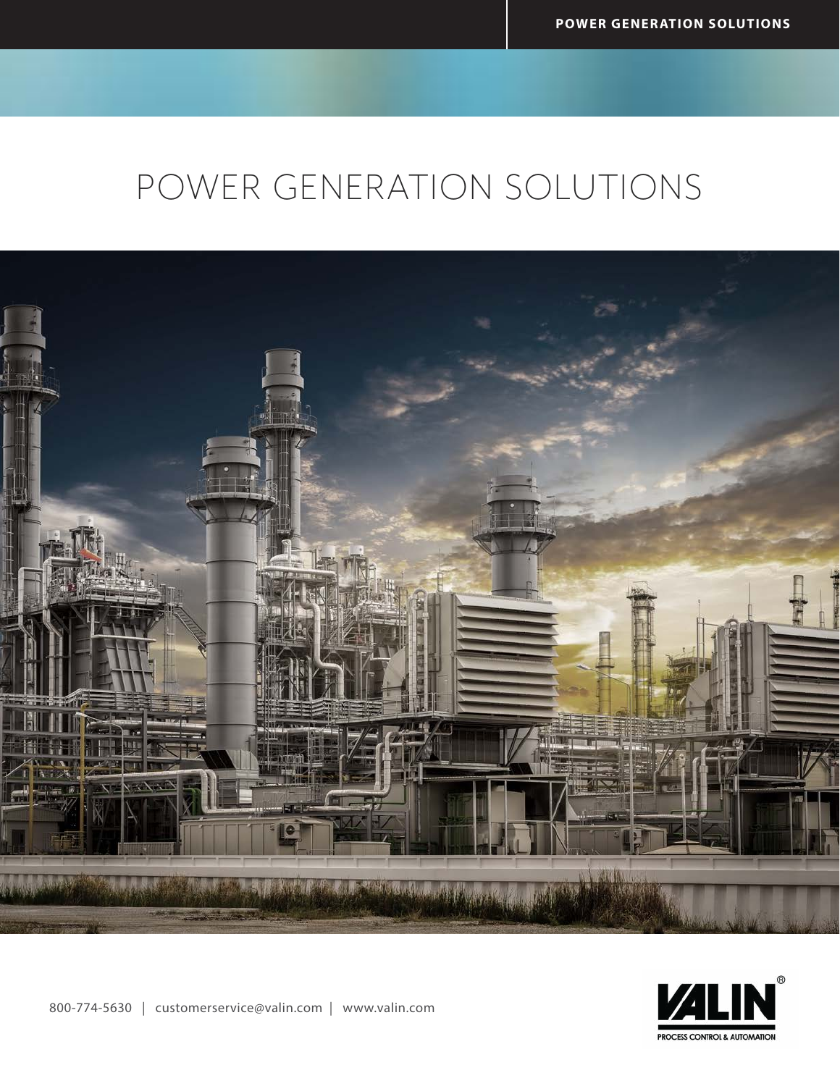# POWER GENERATION SOLUTIONS



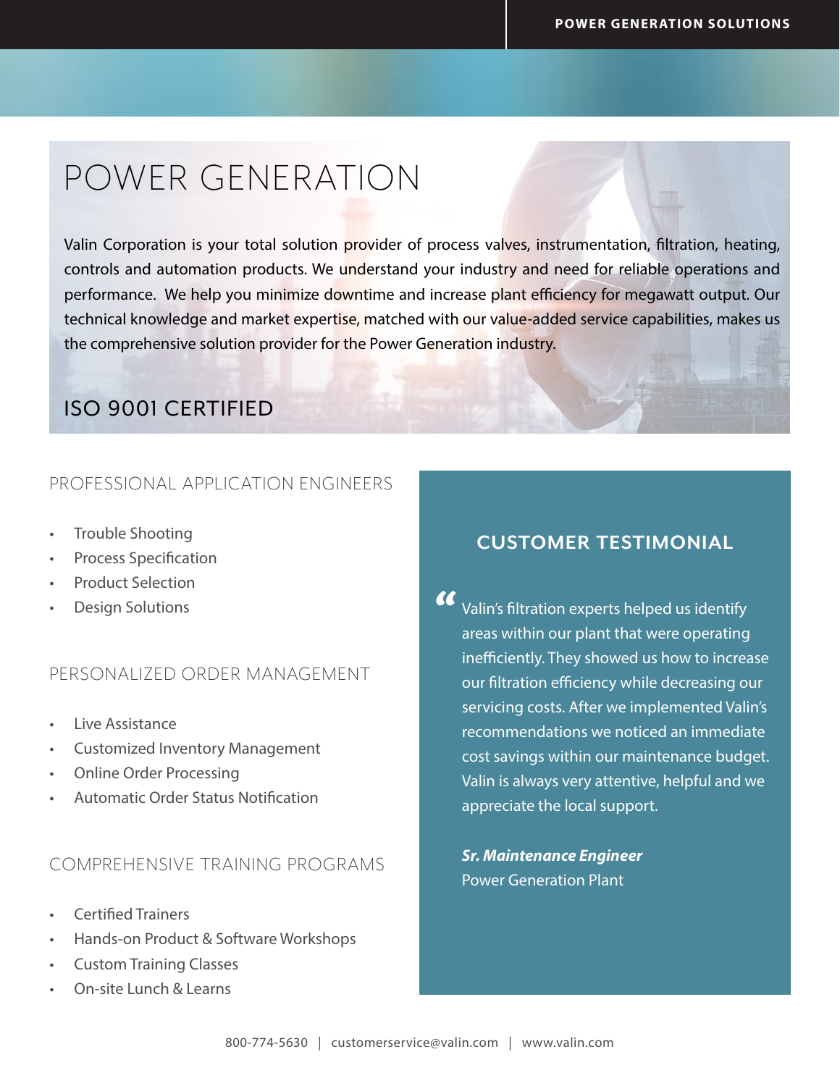## POWER GENERATION

Valin Corporation is your total solution provider of process valves, instrumentation, filtration, heating, controls and automation products. We understand your industry and need for reliable operations and performance. We help you minimize downtime and increase plant efficiency for megawatt output. Our technical knowledge and market expertise, matched with our value-added service capabilities, makes us the comprehensive solution provider for the Power Generation industry.

### ISO 9001 CERTIFIED

#### PROFESSIONAL APPLICATION ENGINEERS

- Trouble Shooting
- Process Specification
- Product Selection
- Design Solutions

#### PERSONALIZED ORDER MANAGEMENT

- Live Assistance
- Customized Inventory Management
- Online Order Processing
- Automatic Order Status Notification

#### COMPREHENSIVE TRAINING PROGRAMS

- Certified Trainers
- Hands-on Product & Software Workshops
- Custom Training Classes
- On-site Lunch & Learns

#### **CUSTOMER TESTIMONIAL**

Valin's filtration experts helped us identify areas within our plant that were operating inefficiently. They showed us how to increase our filtration efficiency while decreasing our servicing costs. After we implemented Valin's recommendations we noticed an immediate cost savings within our maintenance budget. Valin is always very attentive, helpful and we appreciate the local support.  $\alpha$ 

*Sr. Maintenance Engineer* Power Generation Plant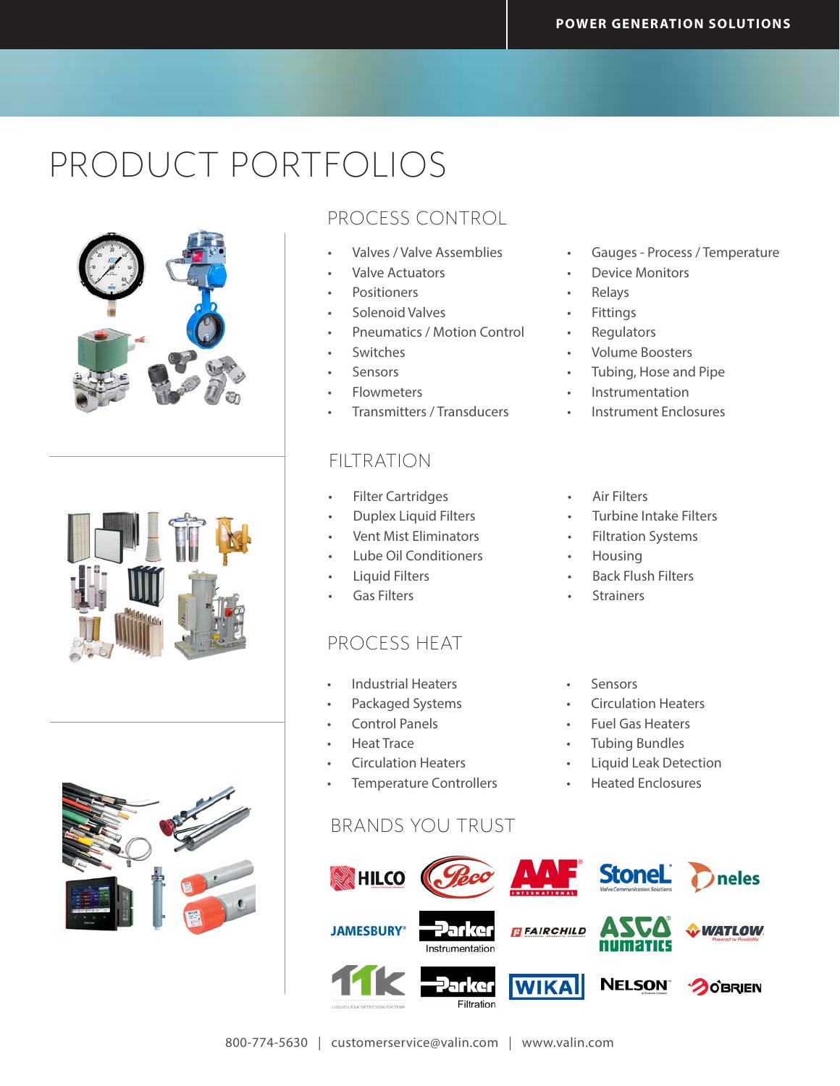# PRODUCT PORTFOLIOS





#### PROCESS CONTROL

- Valves / Valve Assemblies
- Valve Actuators
- **Positioners**
- Solenoid Valves
- Pneumatics / Motion Control
- Switches
- **Sensors**
- Flowmeters
- Transmitters / Transducers

#### FILTRATION

- Filter Cartridges
- Duplex Liquid Filters
- Vent Mist Eliminators
- Lube Oil Conditioners
- Liquid Filters
- Gas Filters

#### PROCESS HEAT

- Industrial Heaters
- Packaged Systems
- Control Panels
- Heat Trace
- Circulation Heaters
- Temperature Controllers

#### BRANDS YOU TRUST



- Gauges Process / Temperature
- Device Monitors
- Relays
- **Fittings**
- **Regulators**
- Volume Boosters
- Tubing, Hose and Pipe
- **Instrumentation**
- Instrument Enclosures
- Air Filters
- Turbine Intake Filters
- Filtration Systems
- Housing
- Back Flush Filters
- **Strainers**
- **Sensors**
- Circulation Heaters
- Fuel Gas Heaters
- Tubing Bundles
- Liquid Leak Detection
- Heated Enclosures